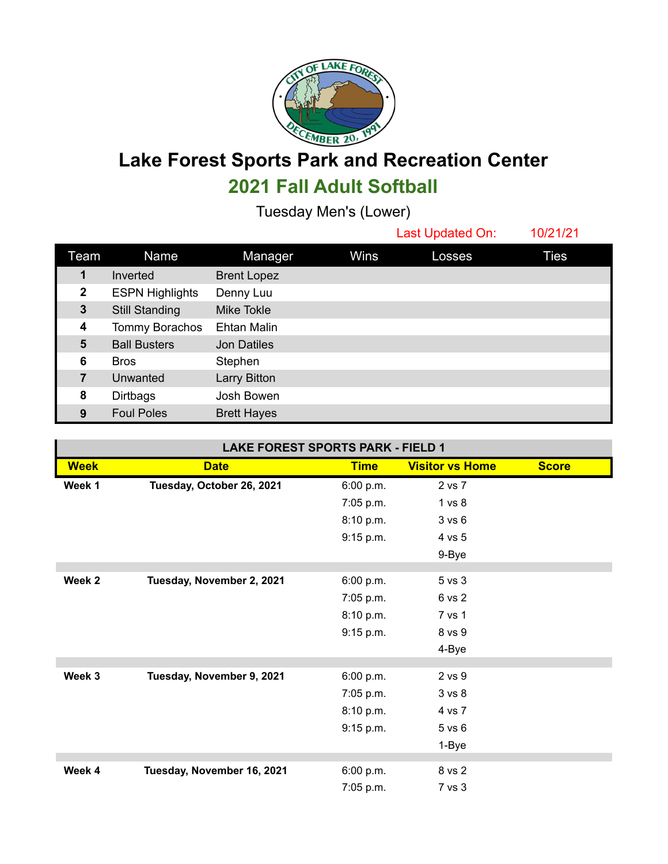

**Lake Forest Sports Park and Recreation Center 2021 Fall Adult Softball**

Tuesday Men's (Lower)

Last Updated On: 10/21/21

| Team           | Name                   | Manager            | Wins | Losses | Ties |
|----------------|------------------------|--------------------|------|--------|------|
| 1              | Inverted               | <b>Brent Lopez</b> |      |        |      |
| $\mathbf 2$    | <b>ESPN Highlights</b> | Denny Luu          |      |        |      |
| 3              | <b>Still Standing</b>  | Mike Tokle         |      |        |      |
| 4              | Tommy Borachos         | Ehtan Malin        |      |        |      |
| 5              | <b>Ball Busters</b>    | <b>Jon Datiles</b> |      |        |      |
| 6              | <b>Bros</b>            | Stephen            |      |        |      |
| $\overline{7}$ | Unwanted               | Larry Bitton       |      |        |      |
| 8              | <b>Dirtbags</b>        | Josh Bowen         |      |        |      |
| 9              | <b>Foul Poles</b>      | <b>Brett Hayes</b> |      |        |      |

| <b>LAKE FOREST SPORTS PARK - FIELD 1</b> |                            |             |                        |              |  |  |  |  |  |
|------------------------------------------|----------------------------|-------------|------------------------|--------------|--|--|--|--|--|
| <b>Week</b>                              | <b>Date</b>                | <b>Time</b> | <b>Visitor vs Home</b> | <b>Score</b> |  |  |  |  |  |
| Week 1                                   | Tuesday, October 26, 2021  | 6:00 p.m.   | 2 vs 7                 |              |  |  |  |  |  |
|                                          |                            | 7:05 p.m.   | 1 vs 8                 |              |  |  |  |  |  |
|                                          |                            | 8:10 p.m.   | 3 vs 6                 |              |  |  |  |  |  |
|                                          |                            | 9:15 p.m.   | 4 vs 5                 |              |  |  |  |  |  |
|                                          |                            |             | 9-Bye                  |              |  |  |  |  |  |
| Week 2                                   | Tuesday, November 2, 2021  | 6:00 p.m.   | 5 vs 3                 |              |  |  |  |  |  |
|                                          |                            | 7:05 p.m.   | 6 vs 2                 |              |  |  |  |  |  |
|                                          |                            | 8:10 p.m.   | 7 vs 1                 |              |  |  |  |  |  |
|                                          |                            | 9:15 p.m.   | 8 vs 9                 |              |  |  |  |  |  |
|                                          |                            |             | 4-Bye                  |              |  |  |  |  |  |
|                                          |                            |             |                        |              |  |  |  |  |  |
| Week 3                                   | Tuesday, November 9, 2021  | 6:00 p.m.   | 2 vs 9                 |              |  |  |  |  |  |
|                                          |                            | 7:05 p.m.   | 3 vs 8                 |              |  |  |  |  |  |
|                                          |                            | 8:10 p.m.   | 4 vs 7                 |              |  |  |  |  |  |
|                                          |                            | 9:15 p.m.   | 5 vs 6                 |              |  |  |  |  |  |
|                                          |                            |             | 1-Bye                  |              |  |  |  |  |  |
| Week 4                                   | Tuesday, November 16, 2021 | 6:00 p.m.   | 8 vs 2                 |              |  |  |  |  |  |
|                                          |                            | 7:05 p.m.   | 7 vs 3                 |              |  |  |  |  |  |
|                                          |                            |             |                        |              |  |  |  |  |  |